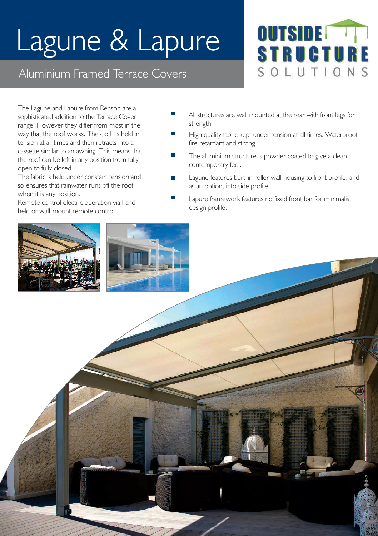## Lagune & Lapure

## Aluminium Framed Terrace Covers

**OUTSIDE STRUCTUR** SOLUTIONS

The Lagune and Lapure from Renson are a sophisticated addition to the Terrace Cover range. However they differ from most in the way that the roof works. The cloth is held in tension at all times and then retracts into a cassette similar to an awning. This means that the roof can be left in any position from fully open to fully closed.

The fabric is held under constant tension and so ensures that rainwater runs off the roof when it is any position.

Remote control electric operation via hand held or wall-mount remote control.

- m, All structures are wall mounted at the rear with front legs for strength.
- m. High quality fabric kept under tension at all times. Waterproof, fire retardant and strong.
- The aluminium structure is powder coated to give a clean contemporary feel.
- Lagune features built-in roller wall housing to front profile, and  $\overline{\phantom{a}}$ as an option, into side profile.
	- Lapure framework features no fixed front bar for minimalist design profile.